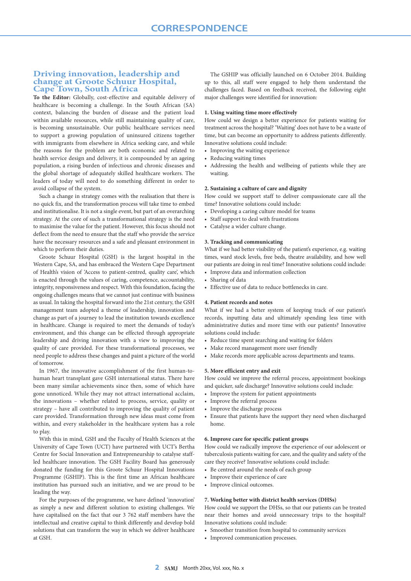# **Driving innovation, leadership and change at Groote Schuur Hospital, Cape Town, South Africa**

**To the Editor:** Globally, cost-effective and equitable delivery of healthcare is becoming a challenge. In the South African (SA) context, balancing the burden of disease and the patient load within available resources, while still maintaining quality of care, is becoming unsustainable. Our public healthcare services need to support a growing population of uninsured citizens together with immigrants from elsewhere in Africa seeking care, and while the reasons for the problem are both economic and related to health service design and delivery, it is compounded by an ageing population, a rising burden of infectious and chronic diseases and the global shortage of adequately skilled healthcare workers. The leaders of today will need to do something different in order to avoid collapse of the system.

Such a change in strategy comes with the realisation that there is no quick fix, and the transformation process will take time to embed and institutionalise. It is not a single event, but part of an overarching strategy. At the core of such a transformational strategy is the need to maximise the value for the patient. However, this focus should not deflect from the need to ensure that the staff who provide the service have the necessary resources and a safe and pleasant environment in which to perform their duties.

Groote Schuur Hospital (GSH) is the largest hospital in the Western Cape, SA, and has embraced the Western Cape Department of Health's vision of 'Access to patient-centred, quality care', which is enacted through the values of caring, competence, accountability, integrity, responsiveness and respect. With this foundation, facing the ongoing challenges means that we cannot just continue with business as usual. In taking the hospital forward into the 21st century, the GSH management team adopted a theme of leadership, innovation and change as part of a journey to lead the institution towards excellence in healthcare. Change is required to meet the demands of today's environment, and this change can be effected through appropriate leadership and driving innovation with a view to improving the quality of care provided. For these transformational processes, we need people to address these changes and paint a picture of the world of tomorrow.

In 1967, the innovative accomplishment of the first human-tohuman heart transplant gave GSH international status. There have been many similar achievements since then, some of which have gone unnoticed. While they may not attract international acclaim, the innovations – whether related to process, service, quality or strategy – have all contributed to improving the quality of patient care provided. Transformation through new ideas must come from within, and every stakeholder in the healthcare system has a role to play.

With this in mind, GSH and the Faculty of Health Sciences at the University of Cape Town (UCT) have partnered with UCT's Bertha Centre for Social Innovation and Entrepreneurship to catalyse staffled healthcare innovation. The GSH Facility Board has generously donated the funding for this Groote Schuur Hospital Innovations Programme (GSHIP). This is the first time an African healthcare institution has pursued such an initiative, and we are proud to be leading the way.

For the purposes of the programme, we have defined 'innovation' as simply a new and different solution to existing challenges. We have capitalised on the fact that our 3 762 staff members have the intellectual and creative capital to think differently and develop bold solutions that can transform the way in which we deliver healthcare at GSH.

The GSHIP was officially launched on 6 October 2014. Building up to this, all staff were engaged to help them understand the challenges faced. Based on feedback received, the following eight major challenges were identified for innovation:

# **1. Using waiting time more effectively**

How could we design a better experience for patients waiting for treatment across the hospital? 'Waiting' does not have to be a waste of time, but can become an opportunity to address patients differently. Innovative solutions could include:

- Improving the waiting experience
- Reducing waiting times
- Addressing the health and wellbeing of patients while they are waiting.

## **2. Sustaining a culture of care and dignity**

How could we support staff to deliver compassionate care all the time? Innovative solutions could include:

- Developing a caring culture model for teams
- Staff support to deal with frustrations
- Catalyse a wider culture change.

### **3. Tracking and communicating**

What if we had better visibility of the patient's experience, e.g. waiting times, ward stock levels, free beds, theatre availability, and how well our patients are doing in real time? Innovative solutions could include:

- Improve data and information collection
- Sharing of data
- Effective use of data to reduce bottlenecks in care.

# **4. Patient records and notes**

What if we had a better system of keeping track of our patient's records, inputting data and ultimately spending less time with administrative duties and more time with our patients? Innovative solutions could include:

- Reduce time spent searching and waiting for folders
- Make record management more user friendly
- Make records more applicable across departments and teams.

### **5. More efficient entry and exit**

How could we improve the referral process, appointment bookings and quicker, safe discharge? Innovative solutions could include:

- Improve the system for patient appointments
- Improve the referral process
- Improve the discharge process
- Ensure that patients have the support they need when discharged home.

### **6. Improve care for specific patient groups**

How could we radically improve the experience of our adolescent or tuberculosis patients waiting for care, and the quality and safety of the care they receive? Innovative solutions could include:

- Be centred around the needs of each group
- Improve their experience of care
- Improve clinical outcomes.

### **7. Working better with district health services (DHSs)**

How could we support the DHSs, so that our patients can be treated near their homes and avoid unnecessary trips to the hospital? Innovative solutions could include:

- Smoother transition from hospital to community services
- Improved communication processes.